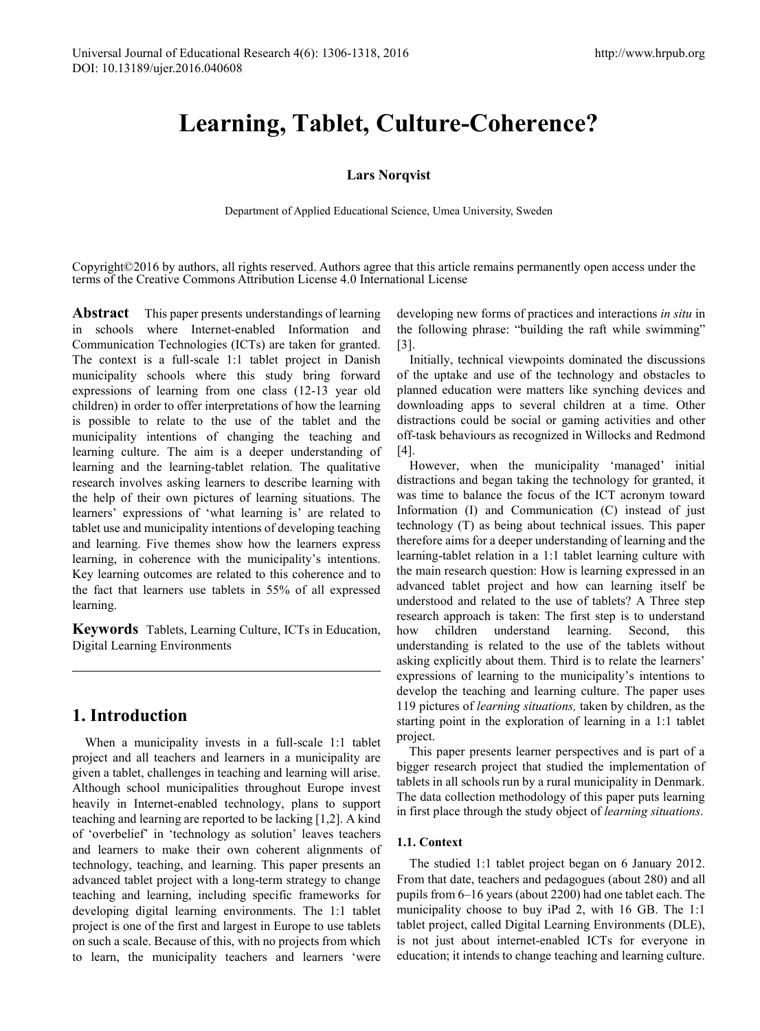# **Learning, Tablet, Culture-Coherence?**

# **Lars Norqvist**

Department of Applied Educational Science, Umea University, Sweden

Copyright©2016 by authors, all rights reserved. Authors agree that this article remains permanently open access under the terms of the Creative Commons Attribution License 4.0 International License

Abstract This paper presents understandings of learning in schools where Internet-enabled Information and Communication Technologies (ICTs) are taken for granted. The context is a full-scale 1:1 tablet project in Danish municipality schools where this study bring forward expressions of learning from one class (12-13 year old children) in order to offer interpretations of how the learning is possible to relate to the use of the tablet and the municipality intentions of changing the teaching and learning culture. The aim is a deeper understanding of learning and the learning-tablet relation. The qualitative research involves asking learners to describe learning with the help of their own pictures of learning situations. The learners' expressions of 'what learning is' are related to tablet use and municipality intentions of developing teaching and learning. Five themes show how the learners express learning, in coherence with the municipality's intentions. Key learning outcomes are related to this coherence and to the fact that learners use tablets in 55% of all expressed learning.

**Keywords** Tablets, Learning Culture, ICTs in Education, Digital Learning Environments

# **1. Introduction**

When a municipality invests in a full-scale 1:1 tablet project and all teachers and learners in a municipality are given a tablet, challenges in teaching and learning will arise. Although school municipalities throughout Europe invest heavily in Internet-enabled technology, plans to support teaching and learning are reported to be lacking [1,2]. A kind of 'overbelief' in 'technology as solution' leaves teachers and learners to make their own coherent alignments of technology, teaching, and learning. This paper presents an advanced tablet project with a long-term strategy to change teaching and learning, including specific frameworks for developing digital learning environments. The 1:1 tablet project is one of the first and largest in Europe to use tablets on such a scale. Because of this, with no projects from which to learn, the municipality teachers and learners 'were

developing new forms of practices and interactions *in situ* in the following phrase: "building the raft while swimming" [3].

Initially, technical viewpoints dominated the discussions of the uptake and use of the technology and obstacles to planned education were matters like synching devices and downloading apps to several children at a time. Other distractions could be social or gaming activities and other off-task behaviours as recognized in Willocks and Redmond [4].

However, when the municipality 'managed' initial distractions and began taking the technology for granted, it was time to balance the focus of the ICT acronym toward Information (I) and Communication (C) instead of just technology (T) as being about technical issues. This paper therefore aims for a deeper understanding of learning and the learning-tablet relation in a 1:1 tablet learning culture with the main research question: How is learning expressed in an advanced tablet project and how can learning itself be understood and related to the use of tablets? A Three step research approach is taken: The first step is to understand how children understand learning. Second, this understanding is related to the use of the tablets without asking explicitly about them. Third is to relate the learners' expressions of learning to the municipality's intentions to develop the teaching and learning culture. The paper uses 119 pictures of *learning situations,* taken by children, as the starting point in the exploration of learning in a 1:1 tablet project.

This paper presents learner perspectives and is part of a bigger research project that studied the implementation of tablets in all schools run by a rural municipality in Denmark. The data collection methodology of this paper puts learning in first place through the study object of *learning situations*.

# **1.1. Context**

The studied 1:1 tablet project began on 6 January 2012. From that date, teachers and pedagogues (about 280) and all pupils from 6–16 years (about 2200) had one tablet each. The municipality choose to buy iPad 2, with 16 GB. The 1:1 tablet project, called Digital Learning Environments (DLE), is not just about internet-enabled ICTs for everyone in education; it intends to change teaching and learning culture.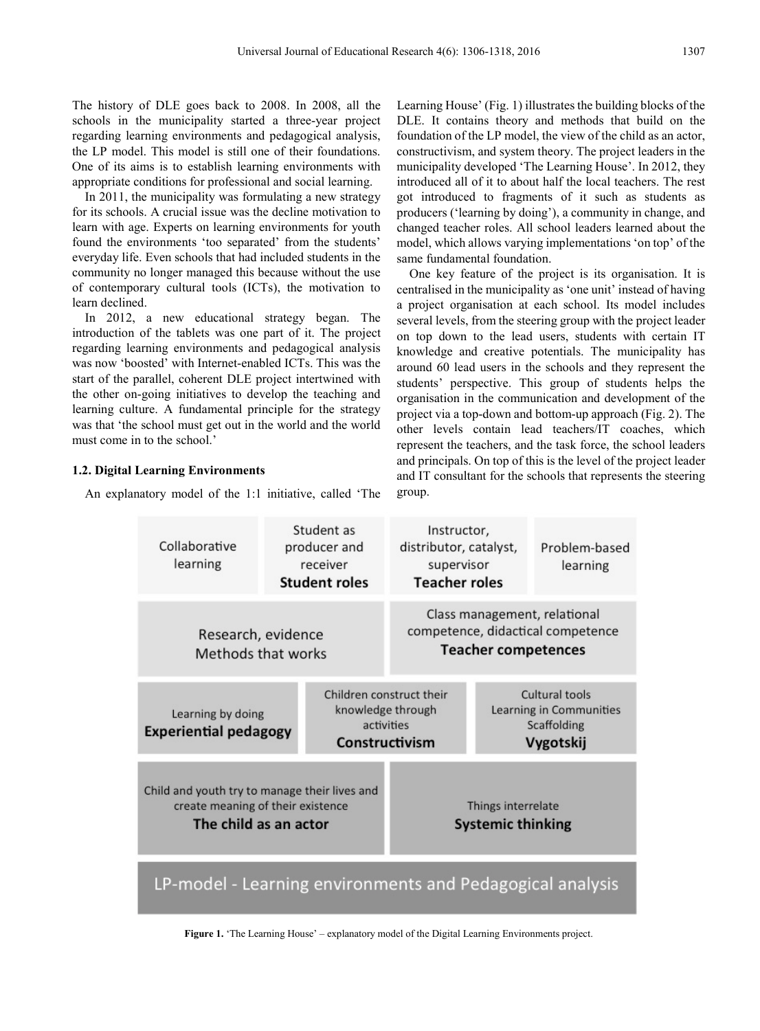The history of DLE goes back to 2008. In 2008, all the schools in the municipality started a three-year project regarding learning environments and pedagogical analysis, the LP model. This model is still one of their foundations. One of its aims is to establish learning environments with appropriate conditions for professional and social learning.

In 2011, the municipality was formulating a new strategy for its schools. A crucial issue was the decline motivation to learn with age. Experts on learning environments for youth found the environments 'too separated' from the students' everyday life. Even schools that had included students in the community no longer managed this because without the use of contemporary cultural tools (ICTs), the motivation to learn declined.

In 2012, a new educational strategy began. The introduction of the tablets was one part of it. The project regarding learning environments and pedagogical analysis was now 'boosted' with Internet-enabled ICTs. This was the start of the parallel, coherent DLE project intertwined with the other on-going initiatives to develop the teaching and learning culture. A fundamental principle for the strategy was that 'the school must get out in the world and the world must come in to the school.'

# **1.2. Digital Learning Environments**

An explanatory model of the 1:1 initiative, called 'The

Learning House' (Fig. 1) illustrates the building blocks of the DLE. It contains theory and methods that build on the foundation of the LP model, the view of the child as an actor, constructivism, and system theory. The project leaders in the municipality developed 'The Learning House'. In 2012, they introduced all of it to about half the local teachers. The rest got introduced to fragments of it such as students as producers ('learning by doing'), a community in change, and changed teacher roles. All school leaders learned about the model, which allows varying implementations 'on top' of the same fundamental foundation.

One key feature of the project is its organisation. It is centralised in the municipality as 'one unit' instead of having a project organisation at each school. Its model includes several levels, from the steering group with the project leader on top down to the lead users, students with certain IT knowledge and creative potentials. The municipality has around 60 lead users in the schools and they represent the students' perspective. This group of students helps the organisation in the communication and development of the project via a top-down and bottom-up approach (Fig. 2). The other levels contain lead teachers/IT coaches, which represent the teachers, and the task force, the school leaders and principals. On top of this is the level of the project leader and IT consultant for the schools that represents the steering group.



**Figure 1.** 'The Learning House' – explanatory model of the Digital Learning Environments project.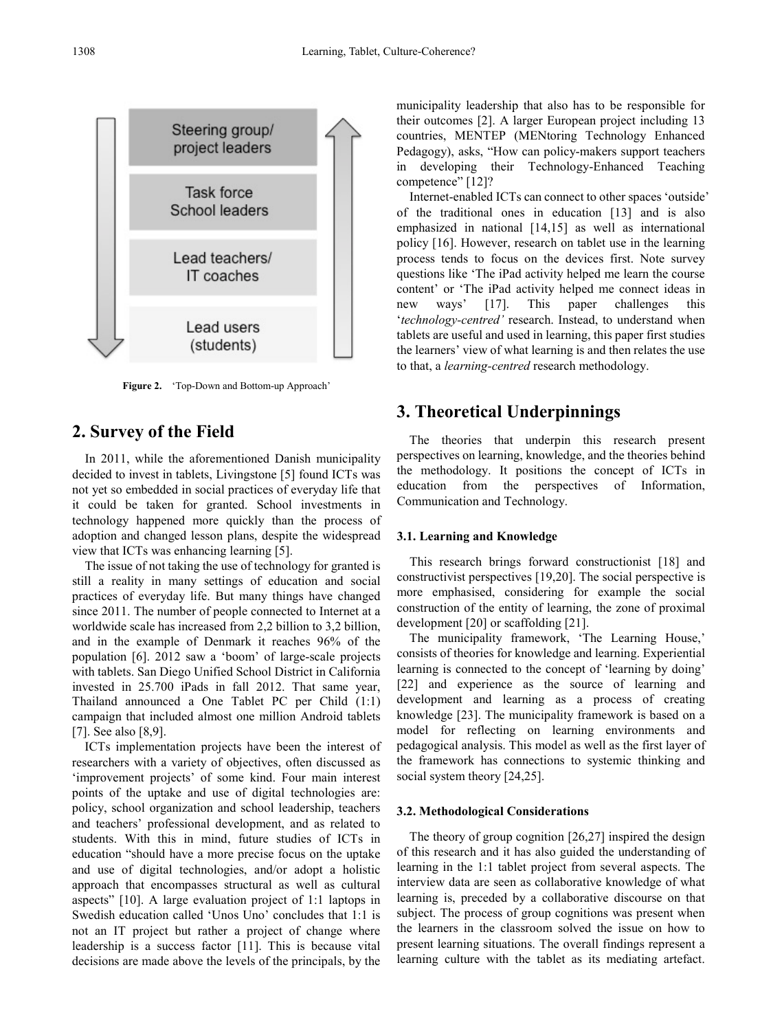

**Figure 2.** 'Top-Down and Bottom-up Approach'

# **2. Survey of the Field**

In 2011, while the aforementioned Danish municipality decided to invest in tablets, Livingstone [5] found ICTs was not yet so embedded in social practices of everyday life that it could be taken for granted. School investments in technology happened more quickly than the process of adoption and changed lesson plans, despite the widespread view that ICTs was enhancing learning [5].

The issue of not taking the use of technology for granted is still a reality in many settings of education and social practices of everyday life. But many things have changed since 2011. The number of people connected to Internet at a worldwide scale has increased from 2,2 billion to 3,2 billion, and in the example of Denmark it reaches 96% of the population [6]. 2012 saw a 'boom' of large-scale projects with tablets. San Diego Unified School District in California invested in 25.700 iPads in fall 2012. That same year, Thailand announced a One Tablet PC per Child (1:1) campaign that included almost one million Android tablets [7]. See also [8,9].

ICTs implementation projects have been the interest of researchers with a variety of objectives, often discussed as 'improvement projects' of some kind. Four main interest points of the uptake and use of digital technologies are: policy, school organization and school leadership, teachers and teachers' professional development, and as related to students. With this in mind, future studies of ICTs in education "should have a more precise focus on the uptake and use of digital technologies, and/or adopt a holistic approach that encompasses structural as well as cultural aspects" [10]. A large evaluation project of 1:1 laptops in Swedish education called 'Unos Uno' concludes that 1:1 is not an IT project but rather a project of change where leadership is a success factor [11]. This is because vital decisions are made above the levels of the principals, by the

municipality leadership that also has to be responsible for their outcomes [2]. A larger European project including 13 countries, MENTEP (MENtoring Technology Enhanced Pedagogy), asks, "How can policy-makers support teachers in developing their Technology-Enhanced Teaching competence" [12]?

Internet-enabled ICTs can connect to other spaces 'outside' of the traditional ones in education [13] and is also emphasized in national [14,15] as well as international policy [16]. However, research on tablet use in the learning process tends to focus on the devices first. Note survey questions like 'The iPad activity helped me learn the course content' or 'The iPad activity helped me connect ideas in new ways' [17]. This paper challenges this '*technology-centred'* research. Instead, to understand when tablets are useful and used in learning, this paper first studies the learners' view of what learning is and then relates the use to that, a *learning-centred* research methodology.

# **3. Theoretical Underpinnings**

The theories that underpin this research present perspectives on learning, knowledge, and the theories behind the methodology. It positions the concept of ICTs in education from the perspectives of Information, Communication and Technology.

# **3.1. Learning and Knowledge**

This research brings forward constructionist [18] and constructivist perspectives [19,20]. The social perspective is more emphasised, considering for example the social construction of the entity of learning, the zone of proximal development [20] or scaffolding [21].

The municipality framework, 'The Learning House,' consists of theories for knowledge and learning. Experiential learning is connected to the concept of 'learning by doing' [22] and experience as the source of learning and development and learning as a process of creating knowledge [23]. The municipality framework is based on a model for reflecting on learning environments and pedagogical analysis. This model as well as the first layer of the framework has connections to systemic thinking and social system theory [24,25].

# **3.2. Methodological Considerations**

The theory of group cognition [26,27] inspired the design of this research and it has also guided the understanding of learning in the 1:1 tablet project from several aspects. The interview data are seen as collaborative knowledge of what learning is, preceded by a collaborative discourse on that subject. The process of group cognitions was present when the learners in the classroom solved the issue on how to present learning situations. The overall findings represent a learning culture with the tablet as its mediating artefact.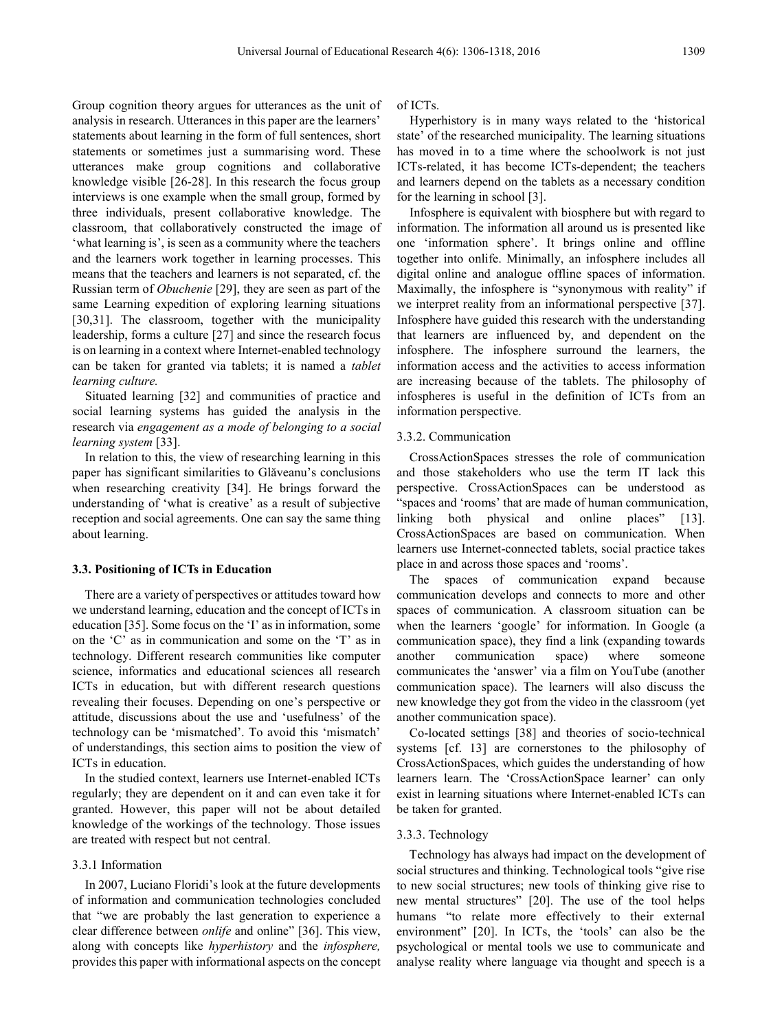Group cognition theory argues for utterances as the unit of analysis in research. Utterances in this paper are the learners' statements about learning in the form of full sentences, short statements or sometimes just a summarising word. These utterances make group cognitions and collaborative knowledge visible [26-28]. In this research the focus group interviews is one example when the small group, formed by three individuals, present collaborative knowledge. The classroom, that collaboratively constructed the image of 'what learning is', is seen as a community where the teachers and the learners work together in learning processes. This means that the teachers and learners is not separated, cf. the Russian term of *Obuchenie* [29], they are seen as part of the same Learning expedition of exploring learning situations [30,31]. The classroom, together with the municipality leadership, forms a culture [27] and since the research focus is on learning in a context where Internet-enabled technology can be taken for granted via tablets; it is named a *tablet learning culture.*

Situated learning [32] and communities of practice and social learning systems has guided the analysis in the research via *engagement as a mode of belonging to a social learning system* [33].

In relation to this, the view of researching learning in this paper has significant similarities to Glăveanu's conclusions when researching creativity [34]. He brings forward the understanding of 'what is creative' as a result of subjective reception and social agreements. One can say the same thing about learning.

#### **3.3. Positioning of ICTs in Education**

There are a variety of perspectives or attitudes toward how we understand learning, education and the concept of ICTs in education [35]. Some focus on the 'I' as in information, some on the 'C' as in communication and some on the 'T' as in technology. Different research communities like computer science, informatics and educational sciences all research ICTs in education, but with different research questions revealing their focuses. Depending on one's perspective or attitude, discussions about the use and 'usefulness' of the technology can be 'mismatched'. To avoid this 'mismatch' of understandings, this section aims to position the view of ICTs in education.

In the studied context, learners use Internet-enabled ICTs regularly; they are dependent on it and can even take it for granted. However, this paper will not be about detailed knowledge of the workings of the technology. Those issues are treated with respect but not central.

# 3.3.1 Information

In 2007, Luciano Floridi's look at the future developments of information and communication technologies concluded that "we are probably the last generation to experience a clear difference between *onlife* and online" [36]. This view, along with concepts like *hyperhistory* and the *infosphere,* provides this paper with informational aspects on the concept of ICTs.

Hyperhistory is in many ways related to the 'historical state' of the researched municipality. The learning situations has moved in to a time where the schoolwork is not just ICTs-related, it has become ICTs-dependent; the teachers and learners depend on the tablets as a necessary condition for the learning in school [3].

Infosphere is equivalent with biosphere but with regard to information. The information all around us is presented like one 'information sphere'. It brings online and offline together into onlife. Minimally, an infosphere includes all digital online and analogue offline spaces of information. Maximally, the infosphere is "synonymous with reality" if we interpret reality from an informational perspective [37]. Infosphere have guided this research with the understanding that learners are influenced by, and dependent on the infosphere. The infosphere surround the learners, the information access and the activities to access information are increasing because of the tablets. The philosophy of infospheres is useful in the definition of ICTs from an information perspective.

# 3.3.2. Communication

CrossActionSpaces stresses the role of communication and those stakeholders who use the term IT lack this perspective. CrossActionSpaces can be understood as "spaces and 'rooms' that are made of human communication, linking both physical and online places" [13]. CrossActionSpaces are based on communication. When learners use Internet-connected tablets, social practice takes place in and across those spaces and 'rooms'.

The spaces of communication expand because communication develops and connects to more and other spaces of communication. A classroom situation can be when the learners 'google' for information. In Google (a communication space), they find a link (expanding towards another communication space) where someone communicates the 'answer' via a film on YouTube (another communication space). The learners will also discuss the new knowledge they got from the video in the classroom (yet another communication space).

Co-located settings [38] and theories of socio-technical systems [cf. 13] are cornerstones to the philosophy of CrossActionSpaces, which guides the understanding of how learners learn. The 'CrossActionSpace learner' can only exist in learning situations where Internet-enabled ICTs can be taken for granted.

# 3.3.3. Technology

Technology has always had impact on the development of social structures and thinking. Technological tools "give rise to new social structures; new tools of thinking give rise to new mental structures" [20]. The use of the tool helps humans "to relate more effectively to their external environment" [20]. In ICTs, the 'tools' can also be the psychological or mental tools we use to communicate and analyse reality where language via thought and speech is a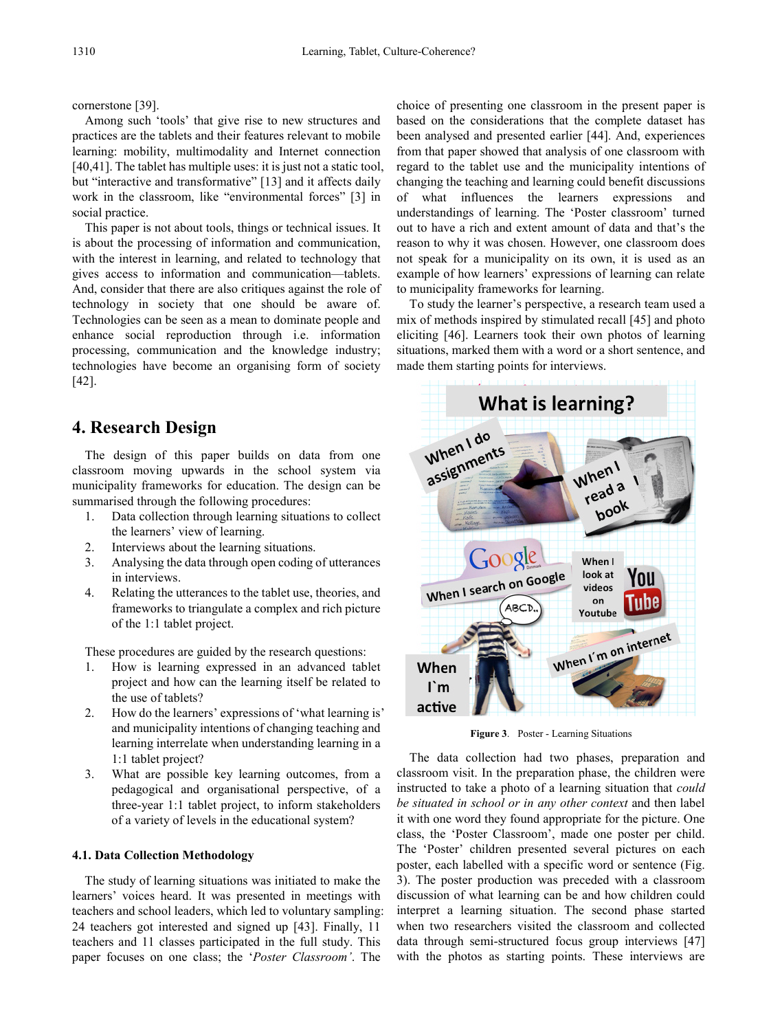cornerstone [39].

Among such 'tools' that give rise to new structures and practices are the tablets and their features relevant to mobile learning: mobility, multimodality and Internet connection [40,41]. The tablet has multiple uses: it is just not a static tool, but "interactive and transformative" [13] and it affects daily work in the classroom, like "environmental forces" [3] in social practice.

This paper is not about tools, things or technical issues. It is about the processing of information and communication, with the interest in learning, and related to technology that gives access to information and communication—tablets. And, consider that there are also critiques against the role of technology in society that one should be aware of. Technologies can be seen as a mean to dominate people and enhance social reproduction through i.e. information processing, communication and the knowledge industry; technologies have become an organising form of society [42].

# **4. Research Design**

The design of this paper builds on data from one classroom moving upwards in the school system via municipality frameworks for education. The design can be summarised through the following procedures:

- 1. Data collection through learning situations to collect the learners' view of learning.
- 2. Interviews about the learning situations.
- 3. Analysing the data through open coding of utterances in interviews.
- 4. Relating the utterances to the tablet use, theories, and frameworks to triangulate a complex and rich picture of the 1:1 tablet project.

These procedures are guided by the research questions:

- 1. How is learning expressed in an advanced tablet project and how can the learning itself be related to the use of tablets?
- 2. How do the learners' expressions of 'what learning is' and municipality intentions of changing teaching and learning interrelate when understanding learning in a 1:1 tablet project?
- 3. What are possible key learning outcomes, from a pedagogical and organisational perspective, of a three-year 1:1 tablet project, to inform stakeholders of a variety of levels in the educational system?

# **4.1. Data Collection Methodology**

The study of learning situations was initiated to make the learners' voices heard. It was presented in meetings with teachers and school leaders, which led to voluntary sampling: 24 teachers got interested and signed up [43]. Finally, 11 teachers and 11 classes participated in the full study. This paper focuses on one class; the '*Poster Classroom'*. The

choice of presenting one classroom in the present paper is based on the considerations that the complete dataset has been analysed and presented earlier [44]. And, experiences from that paper showed that analysis of one classroom with regard to the tablet use and the municipality intentions of changing the teaching and learning could benefit discussions of what influences the learners expressions and understandings of learning. The 'Poster classroom' turned out to have a rich and extent amount of data and that's the reason to why it was chosen. However, one classroom does not speak for a municipality on its own, it is used as an example of how learners' expressions of learning can relate to municipality frameworks for learning.

To study the learner's perspective, a research team used a mix of methods inspired by stimulated recall [45] and photo eliciting [46]. Learners took their own photos of learning situations, marked them with a word or a short sentence, and made them starting points for interviews.



**Figure 3**. Poster - Learning Situations

The data collection had two phases, preparation and classroom visit. In the preparation phase, the children were instructed to take a photo of a learning situation that *could be situated in school or in any other context* and then label it with one word they found appropriate for the picture. One class, the 'Poster Classroom', made one poster per child. The 'Poster' children presented several pictures on each poster, each labelled with a specific word or sentence (Fig. 3). The poster production was preceded with a classroom discussion of what learning can be and how children could interpret a learning situation. The second phase started when two researchers visited the classroom and collected data through semi-structured focus group interviews [47] with the photos as starting points. These interviews are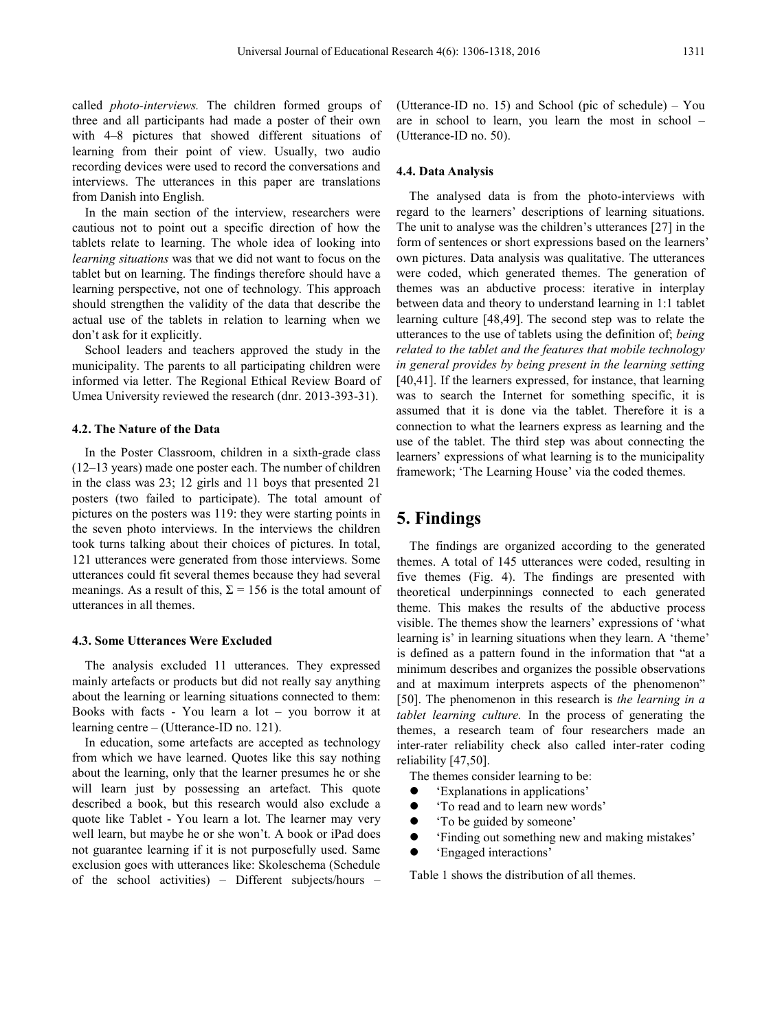called *photo-interviews.* The children formed groups of three and all participants had made a poster of their own with 4–8 pictures that showed different situations of learning from their point of view. Usually, two audio recording devices were used to record the conversations and interviews. The utterances in this paper are translations from Danish into English.

In the main section of the interview, researchers were cautious not to point out a specific direction of how the tablets relate to learning. The whole idea of looking into *learning situations* was that we did not want to focus on the tablet but on learning. The findings therefore should have a learning perspective, not one of technology*.* This approach should strengthen the validity of the data that describe the actual use of the tablets in relation to learning when we don't ask for it explicitly.

School leaders and teachers approved the study in the municipality. The parents to all participating children were informed via letter. The Regional Ethical Review Board of Umea University reviewed the research (dnr. 2013-393-31).

### **4.2. The Nature of the Data**

In the Poster Classroom, children in a sixth-grade class (12–13 years) made one poster each. The number of children in the class was 23; 12 girls and 11 boys that presented 21 posters (two failed to participate). The total amount of pictures on the posters was 119: they were starting points in the seven photo interviews. In the interviews the children took turns talking about their choices of pictures. In total, 121 utterances were generated from those interviews. Some utterances could fit several themes because they had several meanings. As a result of this,  $\Sigma = 156$  is the total amount of utterances in all themes.

## **4.3. Some Utterances Were Excluded**

The analysis excluded 11 utterances. They expressed mainly artefacts or products but did not really say anything about the learning or learning situations connected to them: Books with facts - You learn a lot – you borrow it at learning centre – (Utterance-ID no. 121).

In education, some artefacts are accepted as technology from which we have learned. Quotes like this say nothing about the learning, only that the learner presumes he or she will learn just by possessing an artefact. This quote described a book, but this research would also exclude a quote like Tablet - You learn a lot. The learner may very well learn, but maybe he or she won't. A book or iPad does not guarantee learning if it is not purposefully used. Same exclusion goes with utterances like: Skoleschema (Schedule of the school activities) – Different subjects/hours – (Utterance-ID no. 15) and School (pic of schedule) – You are in school to learn, you learn the most in school – (Utterance-ID no. 50).

#### **4.4. Data Analysis**

The analysed data is from the photo-interviews with regard to the learners' descriptions of learning situations. The unit to analyse was the children's utterances [27] in the form of sentences or short expressions based on the learners' own pictures. Data analysis was qualitative. The utterances were coded, which generated themes. The generation of themes was an abductive process: iterative in interplay between data and theory to understand learning in 1:1 tablet learning culture [48,49]. The second step was to relate the utterances to the use of tablets using the definition of; *being related to the tablet and the features that mobile technology in general provides by being present in the learning setting* [40,41]. If the learners expressed, for instance, that learning was to search the Internet for something specific, it is assumed that it is done via the tablet. Therefore it is a connection to what the learners express as learning and the use of the tablet. The third step was about connecting the learners' expressions of what learning is to the municipality framework; 'The Learning House' via the coded themes.

# **5. Findings**

The findings are organized according to the generated themes. A total of 145 utterances were coded, resulting in five themes (Fig. 4). The findings are presented with theoretical underpinnings connected to each generated theme. This makes the results of the abductive process visible. The themes show the learners' expressions of 'what learning is' in learning situations when they learn. A 'theme' is defined as a pattern found in the information that "at a minimum describes and organizes the possible observations and at maximum interprets aspects of the phenomenon" [50]. The phenomenon in this research is *the learning in a tablet learning culture.* In the process of generating the themes, a research team of four researchers made an inter-rater reliability check also called inter-rater coding reliability [47,50].

The themes consider learning to be:

- 'Explanations in applications'
- To read and to learn new words'
- To be guided by someone'
- 'Finding out something new and making mistakes'
- 'Engaged interactions'

Table 1 shows the distribution of all themes.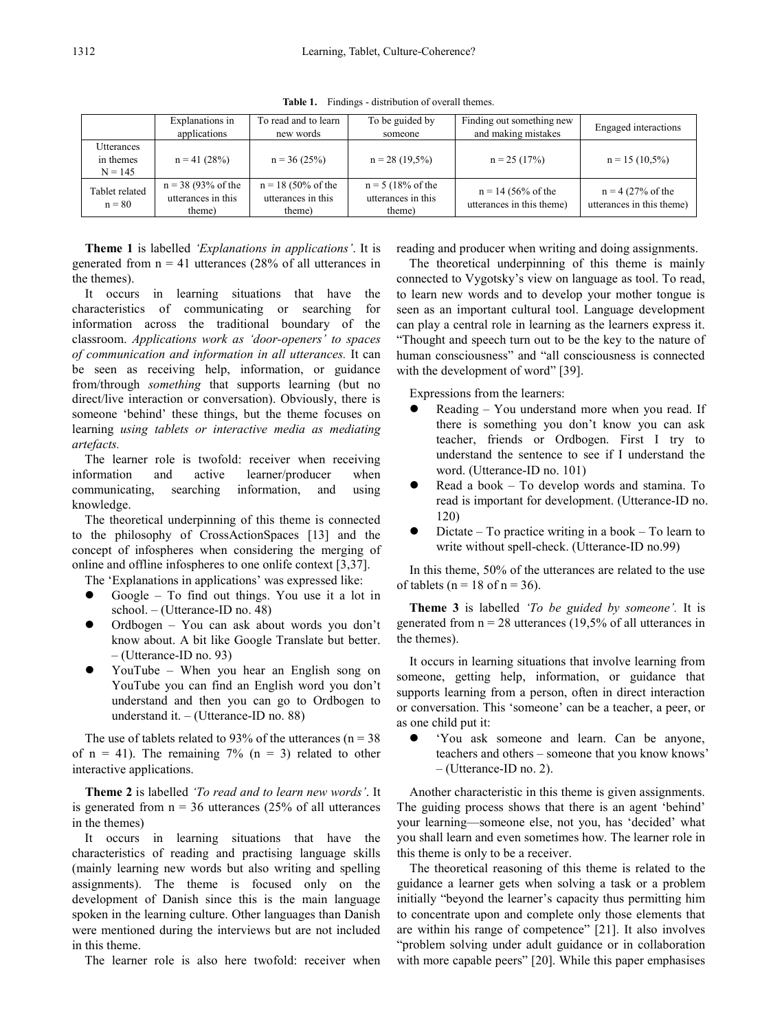|                                      | Explanations in<br>applications                                | To read and to learn<br>new words                              | To be guided by<br>someone                                    | Finding out something new<br>and making mistakes  | Engaged interactions                                       |
|--------------------------------------|----------------------------------------------------------------|----------------------------------------------------------------|---------------------------------------------------------------|---------------------------------------------------|------------------------------------------------------------|
| Utterances<br>in themes<br>$N = 145$ | $n = 41(28%)$                                                  | $n = 36(25%)$                                                  | $n = 28(19,5\%)$                                              | $n = 25(17%)$                                     | $n = 15(10,5\%)$                                           |
| Tablet related<br>$n = 80$           | $n = 38 (93\% \text{ of the})$<br>utterances in this<br>theme) | $n = 18 (50\% \text{ of the})$<br>utterances in this<br>theme) | $n = 5 (18\% \text{ of the})$<br>utterances in this<br>theme) | $n = 14$ (56% of the<br>utterances in this theme) | $n = 4 (27\% \text{ of the})$<br>utterances in this theme) |

**Table 1.** Findings - distribution of overall themes.

**Theme 1** is labelled *'Explanations in applications'*. It is generated from  $n = 41$  utterances (28% of all utterances in the themes).

It occurs in learning situations that have the characteristics of communicating or searching for information across the traditional boundary of the classroom. *Applications work as 'door-openers' to spaces of communication and information in all utterances.* It can be seen as receiving help, information, or guidance from/through *something* that supports learning (but no direct/live interaction or conversation). Obviously, there is someone 'behind' these things, but the theme focuses on learning *using tablets or interactive media as mediating artefacts.*

The learner role is twofold: receiver when receiving information and active learner/producer when communicating, searching information, and using knowledge.

The theoretical underpinning of this theme is connected to the philosophy of CrossActionSpaces [13] and the concept of infospheres when considering the merging of online and offline infospheres to one onlife context [3,37].

The 'Explanations in applications' was expressed like:

- Google To find out things. You use it a lot in school. – (Utterance-ID no. 48)
- Ordbogen You can ask about words you don't know about. A bit like Google Translate but better. – (Utterance-ID no. 93)
- YouTube When you hear an English song on YouTube you can find an English word you don't understand and then you can go to Ordbogen to understand it. – (Utterance-ID no. 88)

The use of tablets related to 93% of the utterances ( $n = 38$ ) of  $n = 41$ ). The remaining 7% ( $n = 3$ ) related to other interactive applications.

**Theme 2** is labelled *'To read and to learn new words'*. It is generated from  $n = 36$  utterances (25% of all utterances in the themes)

It occurs in learning situations that have the characteristics of reading and practising language skills (mainly learning new words but also writing and spelling assignments). The theme is focused only on the development of Danish since this is the main language spoken in the learning culture. Other languages than Danish were mentioned during the interviews but are not included in this theme.

The learner role is also here twofold: receiver when

reading and producer when writing and doing assignments.

The theoretical underpinning of this theme is mainly connected to Vygotsky's view on language as tool. To read, to learn new words and to develop your mother tongue is seen as an important cultural tool. Language development can play a central role in learning as the learners express it. "Thought and speech turn out to be the key to the nature of human consciousness" and "all consciousness is connected with the development of word" [39].

Expressions from the learners:

- Reading You understand more when you read. If there is something you don't know you can ask teacher, friends or Ordbogen. First I try to understand the sentence to see if I understand the word. (Utterance-ID no. 101)
- Read a book To develop words and stamina. To read is important for development. (Utterance-ID no. 120)
- Dictate To practice writing in a book To learn to write without spell-check. (Utterance-ID no.99)

In this theme, 50% of the utterances are related to the use of tablets ( $n = 18$  of  $n = 36$ ).

**Theme 3** is labelled *'To be guided by someone'.* It is generated from  $n = 28$  utterances (19,5% of all utterances in the themes).

It occurs in learning situations that involve learning from someone, getting help, information, or guidance that supports learning from a person, often in direct interaction or conversation. This 'someone' can be a teacher, a peer, or as one child put it:

 'You ask someone and learn. Can be anyone, teachers and others – someone that you know knows' – (Utterance-ID no. 2).

Another characteristic in this theme is given assignments. The guiding process shows that there is an agent 'behind' your learning—someone else, not you, has 'decided' what you shall learn and even sometimes how. The learner role in this theme is only to be a receiver.

The theoretical reasoning of this theme is related to the guidance a learner gets when solving a task or a problem initially "beyond the learner's capacity thus permitting him to concentrate upon and complete only those elements that are within his range of competence" [21]. It also involves "problem solving under adult guidance or in collaboration with more capable peers" [20]. While this paper emphasises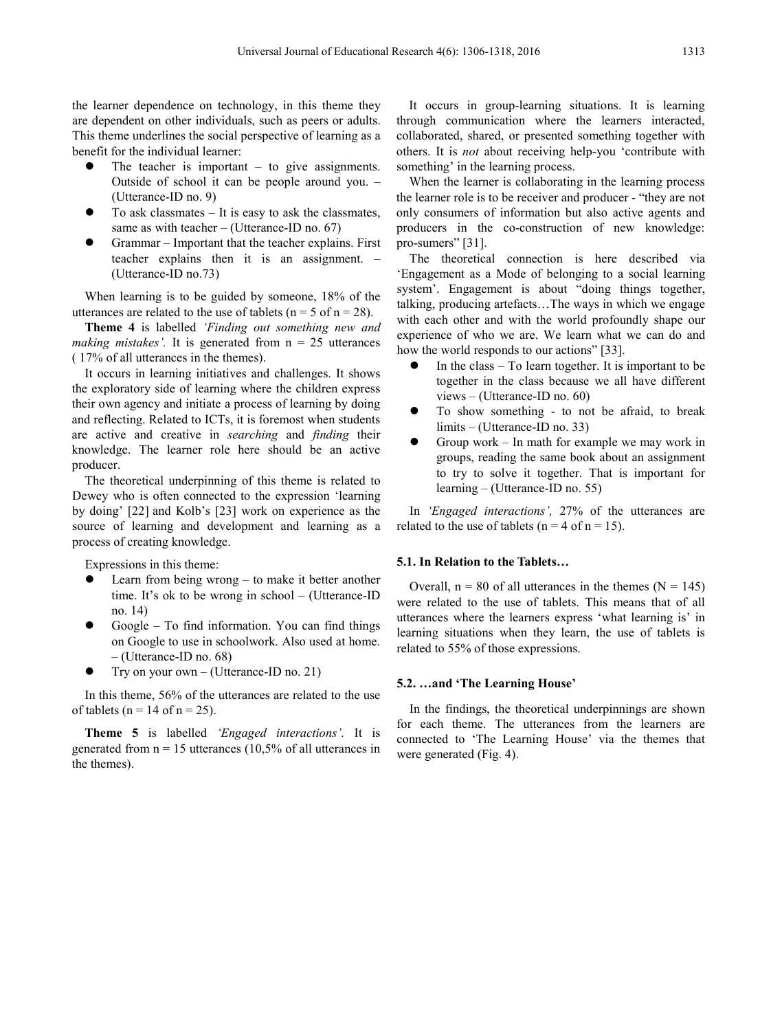the learner dependence on technology, in this theme they are dependent on other individuals, such as peers or adults. This theme underlines the social perspective of learning as a benefit for the individual learner:

- The teacher is important  $-$  to give assignments. Outside of school it can be people around you. – (Utterance-ID no. 9)
- To ask classmates It is easy to ask the classmates, same as with teacher  $-$  (Utterance-ID no. 67)
- Grammar Important that the teacher explains. First teacher explains then it is an assignment. – (Utterance-ID no.73)

When learning is to be guided by someone, 18% of the utterances are related to the use of tablets ( $n = 5$  of  $n = 28$ ).

**Theme 4** is labelled *'Finding out something new and making mistakes'.* It is generated from  $n = 25$  utterances ( 17% of all utterances in the themes).

It occurs in learning initiatives and challenges. It shows the exploratory side of learning where the children express their own agency and initiate a process of learning by doing and reflecting. Related to ICTs, it is foremost when students are active and creative in *searching* and *finding* their knowledge. The learner role here should be an active producer.

The theoretical underpinning of this theme is related to Dewey who is often connected to the expression 'learning by doing' [22] and Kolb's [23] work on experience as the source of learning and development and learning as a process of creating knowledge.

Expressions in this theme:

- Learn from being wrong to make it better another time. It's ok to be wrong in school – (Utterance-ID no. 14)
- Google To find information. You can find things on Google to use in schoolwork. Also used at home. – (Utterance-ID no. 68)
- Try on your own (Utterance-ID no. 21)

In this theme, 56% of the utterances are related to the use of tablets ( $n = 14$  of  $n = 25$ ).

**Theme 5** is labelled *'Engaged interactions'.* It is generated from  $n = 15$  utterances (10,5% of all utterances in the themes).

It occurs in group-learning situations. It is learning through communication where the learners interacted, collaborated, shared, or presented something together with others. It is *not* about receiving help-you 'contribute with something' in the learning process.

When the learner is collaborating in the learning process the learner role is to be receiver and producer - "they are not only consumers of information but also active agents and producers in the co-construction of new knowledge: pro-sumers" [31].

The theoretical connection is here described via 'Engagement as a Mode of belonging to a social learning system'. Engagement is about "doing things together, talking, producing artefacts…The ways in which we engage with each other and with the world profoundly shape our experience of who we are. We learn what we can do and how the world responds to our actions" [33].

- In the class To learn together. It is important to be together in the class because we all have different views – (Utterance-ID no. 60)
- To show something to not be afraid, to break limits – (Utterance-ID no. 33)
- Group work In math for example we may work in groups, reading the same book about an assignment to try to solve it together. That is important for learning – (Utterance-ID no. 55)

In *'Engaged interactions',* 27% of the utterances are related to the use of tablets ( $n = 4$  of  $n = 15$ ).

### **5.1. In Relation to the Tablets…**

Overall,  $n = 80$  of all utterances in the themes ( $N = 145$ ) were related to the use of tablets. This means that of all utterances where the learners express 'what learning is' in learning situations when they learn, the use of tablets is related to 55% of those expressions.

### **5.2. …and 'The Learning House'**

In the findings, the theoretical underpinnings are shown for each theme. The utterances from the learners are connected to 'The Learning House' via the themes that were generated (Fig. 4).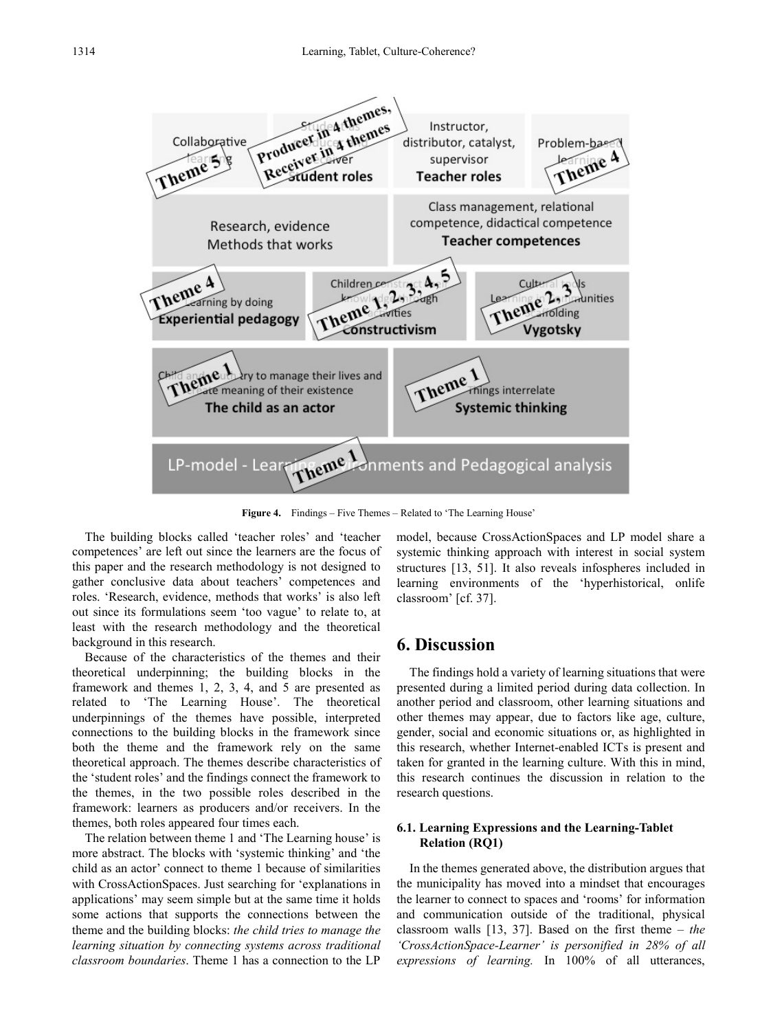

**Figure 4.** Findings – Five Themes – Related to 'The Learning House'

The building blocks called 'teacher roles' and 'teacher competences' are left out since the learners are the focus of this paper and the research methodology is not designed to gather conclusive data about teachers' competences and roles. 'Research, evidence, methods that works' is also left out since its formulations seem 'too vague' to relate to, at least with the research methodology and the theoretical background in this research.

Because of the characteristics of the themes and their theoretical underpinning; the building blocks in the framework and themes 1, 2, 3, 4, and 5 are presented as related to 'The Learning House'. The theoretical underpinnings of the themes have possible, interpreted connections to the building blocks in the framework since both the theme and the framework rely on the same theoretical approach. The themes describe characteristics of the 'student roles' and the findings connect the framework to the themes, in the two possible roles described in the framework: learners as producers and/or receivers. In the themes, both roles appeared four times each.

The relation between theme 1 and 'The Learning house' is more abstract. The blocks with 'systemic thinking' and 'the child as an actor' connect to theme 1 because of similarities with CrossActionSpaces. Just searching for 'explanations in applications' may seem simple but at the same time it holds some actions that supports the connections between the theme and the building blocks: *the child tries to manage the learning situation by connecting systems across traditional classroom boundaries*. Theme 1 has a connection to the LP

model, because CrossActionSpaces and LP model share a systemic thinking approach with interest in social system structures [13, 51]. It also reveals infospheres included in learning environments of the 'hyperhistorical, onlife classroom' [cf. 37].

# **6. Discussion**

The findings hold a variety of learning situations that were presented during a limited period during data collection. In another period and classroom, other learning situations and other themes may appear, due to factors like age, culture, gender, social and economic situations or, as highlighted in this research, whether Internet-enabled ICTs is present and taken for granted in the learning culture. With this in mind, this research continues the discussion in relation to the research questions.

# **6.1. Learning Expressions and the Learning-Tablet Relation (RQ1)**

In the themes generated above, the distribution argues that the municipality has moved into a mindset that encourages the learner to connect to spaces and 'rooms' for information and communication outside of the traditional, physical classroom walls [13, 37]. Based on the first theme – *the 'CrossActionSpace-Learner' is personified in 28% of all expressions of learning.* In 100% of all utterances,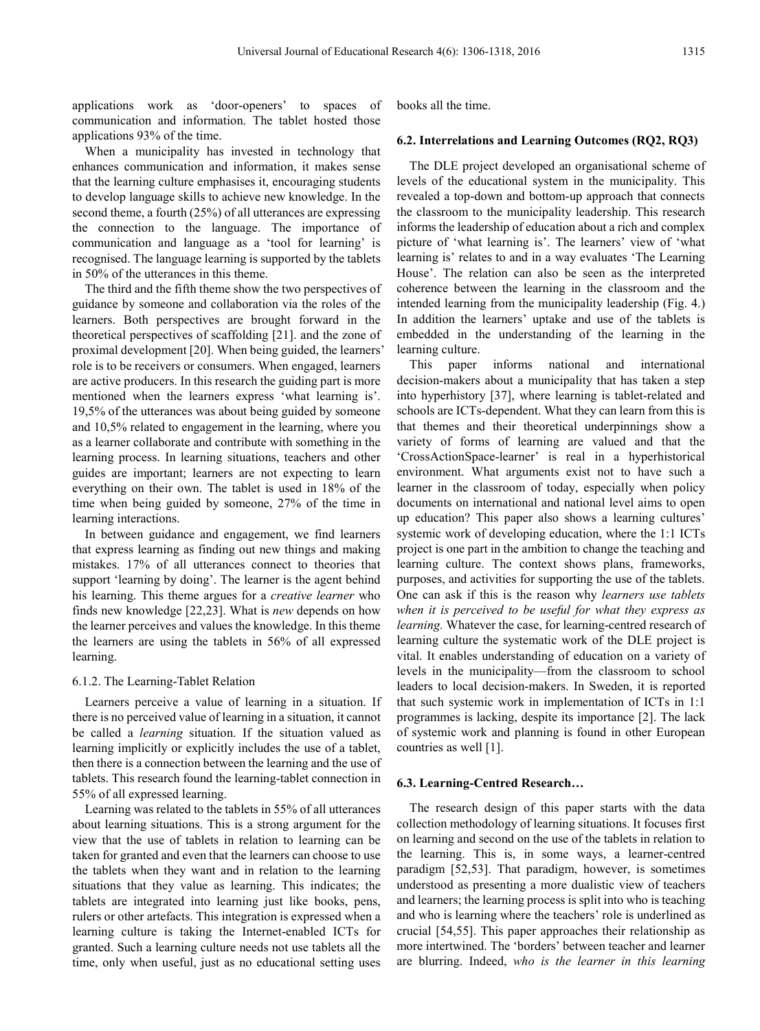applications work as 'door-openers' to spaces of communication and information. The tablet hosted those applications 93% of the time.

When a municipality has invested in technology that enhances communication and information, it makes sense that the learning culture emphasises it, encouraging students to develop language skills to achieve new knowledge. In the second theme, a fourth (25%) of all utterances are expressing the connection to the language. The importance of communication and language as a 'tool for learning' is recognised. The language learning is supported by the tablets in 50% of the utterances in this theme.

The third and the fifth theme show the two perspectives of guidance by someone and collaboration via the roles of the learners. Both perspectives are brought forward in the theoretical perspectives of scaffolding [21]. and the zone of proximal development [20]. When being guided, the learners' role is to be receivers or consumers. When engaged, learners are active producers. In this research the guiding part is more mentioned when the learners express 'what learning is'. 19,5% of the utterances was about being guided by someone and 10,5% related to engagement in the learning, where you as a learner collaborate and contribute with something in the learning process. In learning situations, teachers and other guides are important; learners are not expecting to learn everything on their own. The tablet is used in 18% of the time when being guided by someone, 27% of the time in learning interactions.

In between guidance and engagement, we find learners that express learning as finding out new things and making mistakes. 17% of all utterances connect to theories that support 'learning by doing'. The learner is the agent behind his learning. This theme argues for a *creative learner* who finds new knowledge [22,23]. What is *new* depends on how the learner perceives and values the knowledge. In this theme the learners are using the tablets in 56% of all expressed learning.

### 6.1.2. The Learning-Tablet Relation

Learners perceive a value of learning in a situation. If there is no perceived value of learning in a situation, it cannot be called a *learning* situation. If the situation valued as learning implicitly or explicitly includes the use of a tablet, then there is a connection between the learning and the use of tablets. This research found the learning-tablet connection in 55% of all expressed learning.

Learning was related to the tablets in 55% of all utterances about learning situations. This is a strong argument for the view that the use of tablets in relation to learning can be taken for granted and even that the learners can choose to use the tablets when they want and in relation to the learning situations that they value as learning. This indicates; the tablets are integrated into learning just like books, pens, rulers or other artefacts. This integration is expressed when a learning culture is taking the Internet-enabled ICTs for granted. Such a learning culture needs not use tablets all the time, only when useful, just as no educational setting uses

books all the time.

# **6.2. Interrelations and Learning Outcomes (RQ2, RQ3)**

The DLE project developed an organisational scheme of levels of the educational system in the municipality. This revealed a top-down and bottom-up approach that connects the classroom to the municipality leadership. This research informs the leadership of education about a rich and complex picture of 'what learning is'. The learners' view of 'what learning is' relates to and in a way evaluates 'The Learning House'. The relation can also be seen as the interpreted coherence between the learning in the classroom and the intended learning from the municipality leadership (Fig. 4.) In addition the learners' uptake and use of the tablets is embedded in the understanding of the learning in the learning culture.

This paper informs national and international decision-makers about a municipality that has taken a step into hyperhistory [37], where learning is tablet-related and schools are ICTs-dependent. What they can learn from this is that themes and their theoretical underpinnings show a variety of forms of learning are valued and that the 'CrossActionSpace-learner' is real in a hyperhistorical environment. What arguments exist not to have such a learner in the classroom of today, especially when policy documents on international and national level aims to open up education? This paper also shows a learning cultures' systemic work of developing education, where the 1:1 ICTs project is one part in the ambition to change the teaching and learning culture. The context shows plans, frameworks, purposes, and activities for supporting the use of the tablets. One can ask if this is the reason why *learners use tablets when it is perceived to be useful for what they express as learning.* Whatever the case, for learning-centred research of learning culture the systematic work of the DLE project is vital. It enables understanding of education on a variety of levels in the municipality—from the classroom to school leaders to local decision-makers. In Sweden, it is reported that such systemic work in implementation of ICTs in 1:1 programmes is lacking, despite its importance [2]. The lack of systemic work and planning is found in other European countries as well [1].

# **6.3. Learning-Centred Research…**

The research design of this paper starts with the data collection methodology of learning situations. It focuses first on learning and second on the use of the tablets in relation to the learning. This is, in some ways, a learner-centred paradigm [52,53]. That paradigm, however, is sometimes understood as presenting a more dualistic view of teachers and learners; the learning process is split into who is teaching and who is learning where the teachers' role is underlined as crucial [54,55]. This paper approaches their relationship as more intertwined. The 'borders' between teacher and learner are blurring. Indeed, *who is the learner in this learning*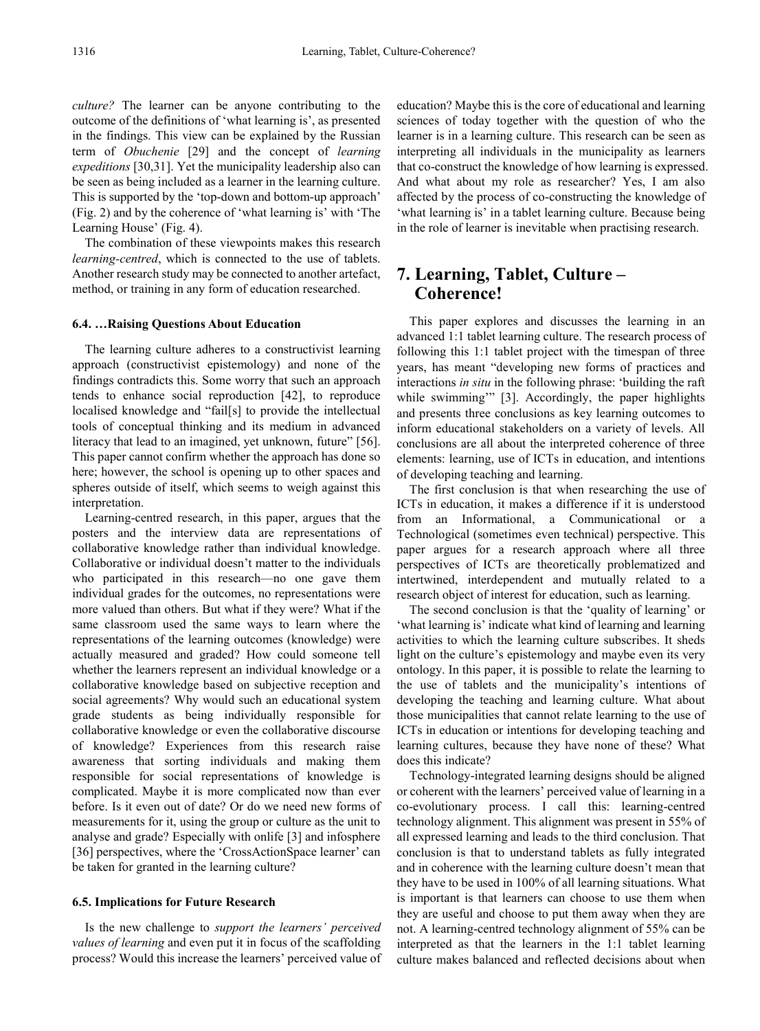*culture?* The learner can be anyone contributing to the outcome of the definitions of 'what learning is', as presented in the findings. This view can be explained by the Russian term of *Obuchenie* [29] and the concept of *learning expeditions* [30,31]. Yet the municipality leadership also can be seen as being included as a learner in the learning culture. This is supported by the 'top-down and bottom-up approach' (Fig. 2) and by the coherence of 'what learning is' with 'The Learning House' (Fig. 4).

The combination of these viewpoints makes this research *learning-centred*, which is connected to the use of tablets. Another research study may be connected to another artefact, method, or training in any form of education researched.

## **6.4. …Raising Questions About Education**

The learning culture adheres to a constructivist learning approach (constructivist epistemology) and none of the findings contradicts this. Some worry that such an approach tends to enhance social reproduction [42], to reproduce localised knowledge and "fail[s] to provide the intellectual tools of conceptual thinking and its medium in advanced literacy that lead to an imagined, yet unknown, future" [56]. This paper cannot confirm whether the approach has done so here; however, the school is opening up to other spaces and spheres outside of itself, which seems to weigh against this interpretation.

Learning-centred research, in this paper, argues that the posters and the interview data are representations of collaborative knowledge rather than individual knowledge. Collaborative or individual doesn't matter to the individuals who participated in this research—no one gave them individual grades for the outcomes, no representations were more valued than others. But what if they were? What if the same classroom used the same ways to learn where the representations of the learning outcomes (knowledge) were actually measured and graded? How could someone tell whether the learners represent an individual knowledge or a collaborative knowledge based on subjective reception and social agreements? Why would such an educational system grade students as being individually responsible for collaborative knowledge or even the collaborative discourse of knowledge? Experiences from this research raise awareness that sorting individuals and making them responsible for social representations of knowledge is complicated. Maybe it is more complicated now than ever before. Is it even out of date? Or do we need new forms of measurements for it, using the group or culture as the unit to analyse and grade? Especially with onlife [3] and infosphere [36] perspectives, where the 'CrossActionSpace learner' can be taken for granted in the learning culture?

### **6.5. Implications for Future Research**

Is the new challenge to *support the learners' perceived values of learning* and even put it in focus of the scaffolding process? Would this increase the learners' perceived value of

education? Maybe this is the core of educational and learning sciences of today together with the question of who the learner is in a learning culture. This research can be seen as interpreting all individuals in the municipality as learners that co-construct the knowledge of how learning is expressed. And what about my role as researcher? Yes, I am also affected by the process of co-constructing the knowledge of 'what learning is' in a tablet learning culture. Because being in the role of learner is inevitable when practising research.

# **7. Learning, Tablet, Culture – Coherence!**

This paper explores and discusses the learning in an advanced 1:1 tablet learning culture. The research process of following this 1:1 tablet project with the timespan of three years, has meant "developing new forms of practices and interactions *in situ* in the following phrase: 'building the raft while swimming" [3]. Accordingly, the paper highlights and presents three conclusions as key learning outcomes to inform educational stakeholders on a variety of levels. All conclusions are all about the interpreted coherence of three elements: learning, use of ICTs in education, and intentions of developing teaching and learning.

The first conclusion is that when researching the use of ICTs in education, it makes a difference if it is understood from an Informational, a Communicational or a Technological (sometimes even technical) perspective. This paper argues for a research approach where all three perspectives of ICTs are theoretically problematized and intertwined, interdependent and mutually related to a research object of interest for education, such as learning.

The second conclusion is that the 'quality of learning' or 'what learning is' indicate what kind of learning and learning activities to which the learning culture subscribes. It sheds light on the culture's epistemology and maybe even its very ontology. In this paper, it is possible to relate the learning to the use of tablets and the municipality's intentions of developing the teaching and learning culture. What about those municipalities that cannot relate learning to the use of ICTs in education or intentions for developing teaching and learning cultures, because they have none of these? What does this indicate?

Technology-integrated learning designs should be aligned or coherent with the learners' perceived value of learning in a co-evolutionary process. I call this: learning-centred technology alignment. This alignment was present in 55% of all expressed learning and leads to the third conclusion. That conclusion is that to understand tablets as fully integrated and in coherence with the learning culture doesn't mean that they have to be used in 100% of all learning situations. What is important is that learners can choose to use them when they are useful and choose to put them away when they are not. A learning-centred technology alignment of 55% can be interpreted as that the learners in the 1:1 tablet learning culture makes balanced and reflected decisions about when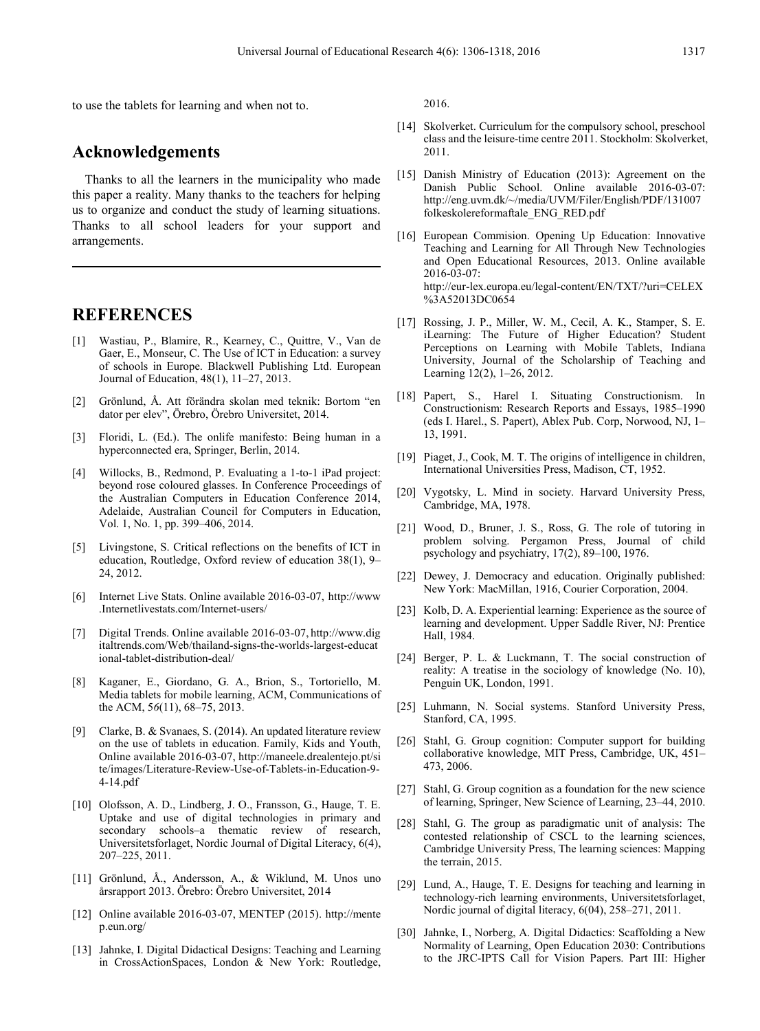to use the tablets for learning and when not to.

# **Acknowledgements**

Thanks to all the learners in the municipality who made this paper a reality. Many thanks to the teachers for helping us to organize and conduct the study of learning situations. Thanks to all school leaders for your support and arrangements.

# **REFERENCES**

- [1] Wastiau, P., Blamire, R., Kearney, C., Quittre, V., Van de Gaer, E., Monseur, C. The Use of ICT in Education: a survey of schools in Europe. Blackwell Publishing Ltd. European Journal of Education, 48(1), 11–27, 2013.
- [2] Grönlund, Å. Att förändra skolan med teknik: Bortom "en dator per elev", Örebro, Örebro Universitet, 2014.
- [3] Floridi, L. (Ed.). The onlife manifesto: Being human in a hyperconnected era, Springer, Berlin, 2014.
- [4] Willocks, B., Redmond, P. Evaluating a 1-to-1 iPad project: beyond rose coloured glasses. In Conference Proceedings of the Australian Computers in Education Conference 2014, Adelaide, Australian Council for Computers in Education, Vol. 1, No. 1, pp. 399–406, 2014.
- [5] Livingstone, S. Critical reflections on the benefits of ICT in education, Routledge, Oxford review of education 38(1), 9– 24, 2012.
- [6] Internet Live Stats. Online available 2016-03-07, http://www .Internetlivestats.com/Internet-users/
- [7] Digital Trends. Online available 2016-03-07, http://www.dig italtrends.com/Web/thailand-signs-the-worlds-largest-educat ional-tablet-distribution-deal/
- [8] Kaganer, E., Giordano, G. A., Brion, S., Tortoriello, M. Media tablets for mobile learning, ACM, Communications of the ACM, 5*6*(11), 68–75, 2013.
- [9] Clarke, B. & Svanaes, S. (2014). An updated literature review on the use of tablets in education. Family, Kids and Youth, Online available 2016-03-07, http://maneele.drealentejo.pt/si te/images/Literature-Review-Use-of-Tablets-in-Education-9- 4-14.pdf
- [10] Olofsson, A. D., Lindberg, J. O., Fransson, G., Hauge, T. E. Uptake and use of digital technologies in primary and secondary schools–a thematic review of research, Universitetsforlaget, Nordic Journal of Digital Literacy, 6(4), 207–225, 2011.
- [11] Grönlund, Å., Andersson, A., & Wiklund, M. Unos uno årsrapport 2013. Örebro: Örebro Universitet, 2014
- [12] Online available 2016-03-07, MENTEP (2015). http://mente p.eun.org/
- [13] Jahnke, I. Digital Didactical Designs: Teaching and Learning in CrossActionSpaces, London & New York: Routledge,

2016.

- [14] Skolverket. Curriculum for the compulsory school, preschool class and the leisure-time centre 2011. Stockholm: Skolverket, 2011.
- [15] Danish Ministry of Education (2013): Agreement on the Danish Public School. Online available 2016-03-07: http://eng.uvm.dk/~/media/UVM/Filer/English/PDF/131007 folkeskolereformaftale\_ENG\_RED.pdf
- [16] European Commision. Opening Up Education: Innovative Teaching and Learning for All Through New Technologies and Open Educational Resources, 2013. Online available 2016-03-07: http://eur-lex.europa.eu/legal-content/EN/TXT/?uri=CELEX %3A52013DC0654
- [17] Rossing, J. P., Miller, W. M., Cecil, A. K., Stamper, S. E. iLearning: The Future of Higher Education? Student Perceptions on Learning with Mobile Tablets, Indiana University, Journal of the Scholarship of Teaching and Learning 12(2), 1–26, 2012.
- [18] Papert, S., Harel I. Situating Constructionism. In Constructionism: Research Reports and Essays, 1985–1990 (eds I. Harel., S. Papert), Ablex Pub. Corp, Norwood, NJ, 1– 13, 1991.
- [19] Piaget, J., Cook, M. T. The origins of intelligence in children, International Universities Press, Madison, CT, 1952.
- [20] Vygotsky, L. Mind in society. Harvard University Press, Cambridge, MA, 1978.
- [21] Wood, D., Bruner, J. S., Ross, G. The role of tutoring in problem solving. Pergamon Press, Journal of child psychology and psychiatry, 17(2), 89–100, 1976.
- [22] Dewey, J. Democracy and education. Originally published: New York: MacMillan, 1916, Courier Corporation, 2004.
- [23] Kolb, D. A. Experiential learning: Experience as the source of learning and development. Upper Saddle River, NJ: Prentice Hall, 1984.
- [24] Berger, P. L. & Luckmann, T. The social construction of reality: A treatise in the sociology of knowledge (No. 10), Penguin UK, London, 1991.
- [25] Luhmann, N. Social systems. Stanford University Press, Stanford, CA, 1995.
- [26] Stahl, G. Group cognition: Computer support for building collaborative knowledge, MIT Press, Cambridge, UK, 451– 473, 2006.
- [27] Stahl, G. Group cognition as a foundation for the new science of learning, Springer, New Science of Learning, 23–44, 2010.
- [28] Stahl, G. The group as paradigmatic unit of analysis: The contested relationship of CSCL to the learning sciences, Cambridge University Press, The learning sciences: Mapping the terrain, 2015.
- [29] Lund, A., Hauge, T. E. Designs for teaching and learning in technology-rich learning environments, Universitetsforlaget, Nordic journal of digital literacy, 6(04), 258–271, 2011.
- [30] Jahnke, I., Norberg, A. Digital Didactics: Scaffolding a New Normality of Learning, Open Education 2030: Contributions to the JRC-IPTS Call for Vision Papers. Part III: Higher